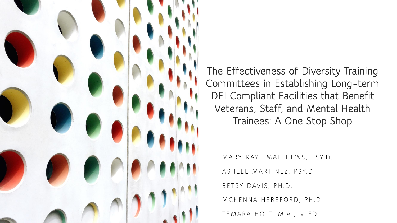

**The Effectiveness of Diversity Training Committees in Establishing Long-term DEI Compliant Facilities that Benefit Veterans, Staff, and Mental Health Trainees: A One Stop Shop**

MARY KAYE MATTHEWS, PSY.D.

ASHLEE MARTINEZ, PSY.D.

BETSY DAVIS, PH.D.

MCKENNA HEREFORD, PH.D.

TEMARA HOLT, M.A., M.ED.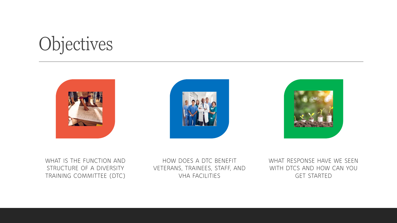### Objectives







WHAT IS THE FUNCTION AND STRUCTURE OF A DIVERSITY TRAINING COMMITTEE (DTC)

HOW DOES A DTC BENEFIT VETERANS, TRAINEES, STAFF, AND VHA FACILITIES

WHAT RESPONSE HAVE WE SEEN WITH DTCS AND HOW CAN YOU GET STARTED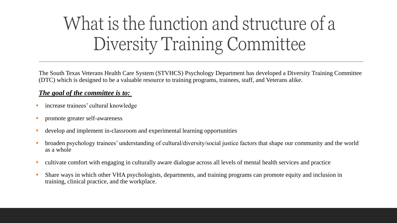## What is the function and structure of a Diversity Training Committee

The South Texas Veterans Health Care System (STVHCS) Psychology Department has developed a Diversity Training Committee (DTC) which is designed to be a valuable resource to training programs, trainees, staff, and Veterans alike.

#### *The goal of the committee is to:*

- increase trainees' cultural knowledge
- **•** promote greater self-awareness
- develop and implement in-classroom and experimental learning opportunities
- broaden psychology trainees' understanding of cultural/diversity/social justice factors that shape our community and the world as a whole
- cultivate comfort with engaging in culturally aware dialogue across all levels of mental health services and practice
- Share ways in which other VHA psychologists, departments, and training programs can promote equity and inclusion in training, clinical practice, and the workplace.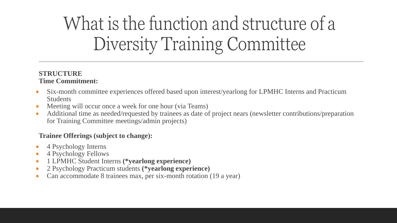# What is the function and structure of a Diversity Training Committee

#### **STRUCTURE Time Commitment:**

- Six-month committee experiences offered based upon interest/yearlong for LPMHC Interns and Practicum Students
- Meeting will occur once a week for one hour (via Teams)
- Additional time as needed/requested by trainees as date of project nears (newsletter contributions/preparation for Training Committee meetings/admin projects)

### **Trainee Offerings (subject to change):**

- 4 Psychology Interns
- 4 Psychology Fellows
- 1 LPMHC Student Interns **(\*yearlong experience)**
- 2 Psychology Practicum students **(\*yearlong experience)**
- Can accommodate 8 trainees max, per six-month rotation (19 a year)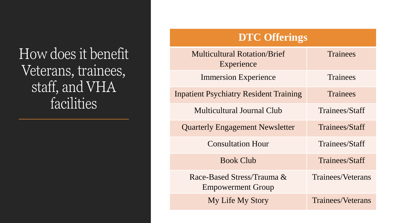How does it benefit Veterans, trainees, staff, and VHA facilities

### **DTC Offerings**

| <b>Multicultural Rotation/Brief</b><br>Experience      | <b>Trainees</b>   |
|--------------------------------------------------------|-------------------|
| <b>Immersion Experience</b>                            | Trainees          |
| <b>Inpatient Psychiatry Resident Training</b>          | <b>Trainees</b>   |
| Multicultural Journal Club                             | Trainees/Staff    |
| <b>Quarterly Engagement Newsletter</b>                 | Trainees/Staff    |
| <b>Consultation Hour</b>                               | Trainees/Staff    |
| <b>Book Club</b>                                       | Trainees/Staff    |
| Race-Based Stress/Trauma &<br><b>Empowerment Group</b> | Trainees/Veterans |
| <b>My Life My Story</b>                                | Trainees/Veterans |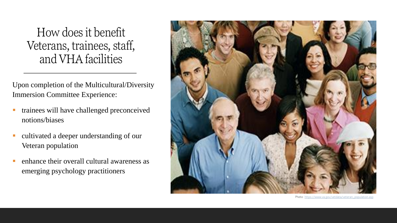How does it benefit Veterans, trainees, staff, and VHA facilities

Upon completion of the Multicultural/Diversity Immersion Committee Experience:

- trainees will have challenged preconceived notions/biases
- cultivated a deeper understanding of our Veteran population
- enhance their overall cultural awareness as emerging psychology practitioners



Photo: [https://www.va.gov/vetdata/veteran\\_population.asp](https://www.va.gov/vetdata/veteran_population.asp)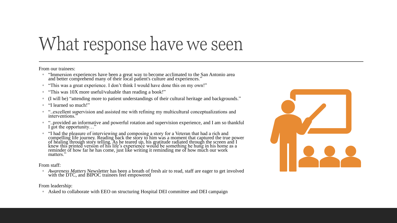### What response have we seen

From our trainees:

- "Immersion experiences have been a great way to become acclimated to the San Antonio area and better comprehend many of their local patient's culture and experiences."
- "This was a great experience. I don't think I would have done this on my own!"
- "This was 10X more useful/valuable than reading a book!"
- (I will be) "attending more to patient understandings of their cultural heritage and backgrounds."
- "I learned so much!"
- "..excellent supervision and assisted me with refining my multicultural conceptualizations and interventions."
- "..provided an informative and powerful rotation and supervision experience, and I am so thankful I got the opportunity…"
- "I had the pleasure of interviewing and composing a story for a Veteran that had a rich and compelling life journey. Reading back the story to him was a moment that captured the true power of healing through story telling. As he teared up, his gratitude radiated through the screen and I knew this printed version of his life's experience would be something he hung in his home as a reminder of how far he has come, just like writing it reminding me of how much our work matters."

From staff:

◦ *Awareness Matters* Newsletter has been a breath of fresh air to read, staff are eager to get involved with the DTC, and BIPOC trainees feel empowered

From leadership:

◦ Asked to collaborate with EEO on structuring Hospital DEI committee and DEI campaign